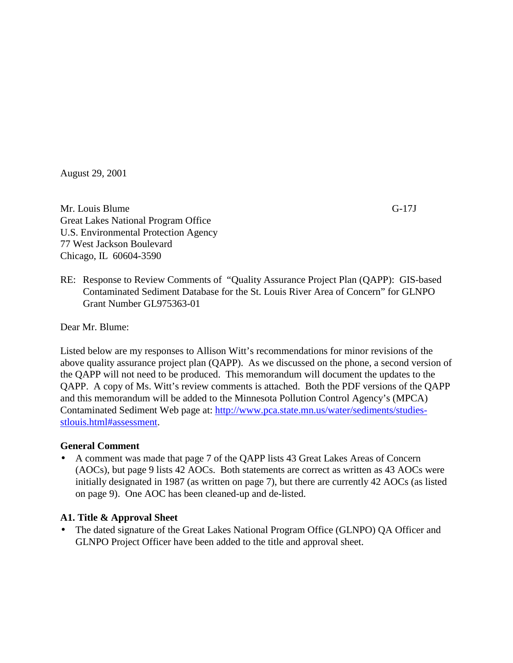August 29, 2001

Mr. Louis Blume G-17J Great Lakes National Program Office U.S. Environmental Protection Agency 77 West Jackson Boulevard Chicago, IL 60604-3590

RE: Response to Review Comments of "Quality Assurance Project Plan (QAPP): GIS-based Contaminated Sediment Database for the St. Louis River Area of Concern" for GLNPO Grant Number GL975363-01

Dear Mr. Blume:

Listed below are my responses to Allison Witt's recommendations for minor revisions of the above quality assurance project plan (QAPP). As we discussed on the phone, a second version of the QAPP will not need to be produced. This memorandum will document the updates to the QAPP. A copy of Ms. Witt's review comments is attached. Both the PDF versions of the QAPP and this memorandum will be added to the Minnesota Pollution Control Agency's (MPCA) Contaminated Sediment Web page at: [http://www.pca.state.mn.us/water/sediments/studies](http://www.pca.state.mn.us/water/sediments/studies-stlouis.html#assessment)[stlouis.html#assessment.](http://www.pca.state.mn.us/water/sediments/studies-stlouis.html#assessment)

#### **General Comment**

• A comment was made that page 7 of the QAPP lists 43 Great Lakes Areas of Concern (AOCs), but page 9 lists 42 AOCs. Both statements are correct as written as 43 AOCs were initially designated in 1987 (as written on page 7), but there are currently 42 AOCs (as listed on page 9). One AOC has been cleaned-up and de-listed.

#### **A1. Title & Approval Sheet**

• The dated signature of the Great Lakes National Program Office (GLNPO) QA Officer and GLNPO Project Officer have been added to the title and approval sheet.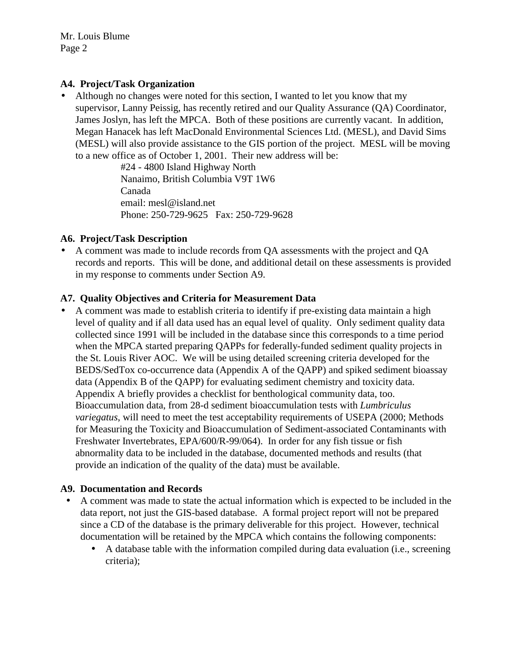#### **A4. Project/Task Organization**

• Although no changes were noted for this section, I wanted to let you know that my supervisor, Lanny Peissig, has recently retired and our Quality Assurance (QA) Coordinator, James Joslyn, has left the MPCA. Both of these positions are currently vacant. In addition, Megan Hanacek has left MacDonald Environmental Sciences Ltd. (MESL), and David Sims (MESL) will also provide assistance to the GIS portion of the project. MESL will be moving to a new office as of October 1, 2001. Their new address will be:

> #24 - 4800 Island Highway North Nanaimo, British Columbia V9T 1W6 Canada email: mesl@island.net Phone: 250-729-9625 Fax: 250-729-9628

#### **A6. Project/Task Description**

• A comment was made to include records from QA assessments with the project and QA records and reports. This will be done, and additional detail on these assessments is provided in my response to comments under Section A9.

#### **A7. Quality Objectives and Criteria for Measurement Data**

• A comment was made to establish criteria to identify if pre-existing data maintain a high level of quality and if all data used has an equal level of quality. Only sediment quality data collected since 1991 will be included in the database since this corresponds to a time period when the MPCA started preparing QAPPs for federally-funded sediment quality projects in the St. Louis River AOC. We will be using detailed screening criteria developed for the BEDS/SedTox co-occurrence data (Appendix A of the QAPP) and spiked sediment bioassay data (Appendix B of the QAPP) for evaluating sediment chemistry and toxicity data. Appendix A briefly provides a checklist for benthological community data, too. Bioaccumulation data, from 28-d sediment bioaccumulation tests with *Lumbriculus variegatus*, will need to meet the test acceptability requirements of USEPA (2000; Methods for Measuring the Toxicity and Bioaccumulation of Sediment-associated Contaminants with Freshwater Invertebrates, EPA/600/R-99/064). In order for any fish tissue or fish abnormality data to be included in the database, documented methods and results (that provide an indication of the quality of the data) must be available.

#### **A9. Documentation and Records**

- A comment was made to state the actual information which is expected to be included in the data report, not just the GIS-based database. A formal project report will not be prepared since a CD of the database is the primary deliverable for this project. However, technical documentation will be retained by the MPCA which contains the following components:
	- A database table with the information compiled during data evaluation (i.e., screening criteria);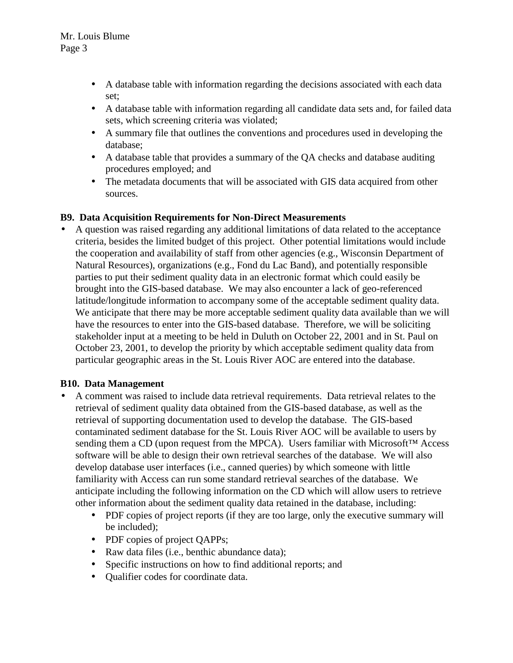- A database table with information regarding the decisions associated with each data set;
- A database table with information regarding all candidate data sets and, for failed data sets, which screening criteria was violated;
- A summary file that outlines the conventions and procedures used in developing the database;
- A database table that provides a summary of the QA checks and database auditing procedures employed; and
- The metadata documents that will be associated with GIS data acquired from other sources.

#### **B9. Data Acquisition Requirements for Non-Direct Measurements**

• A question was raised regarding any additional limitations of data related to the acceptance criteria, besides the limited budget of this project. Other potential limitations would include the cooperation and availability of staff from other agencies (e.g., Wisconsin Department of Natural Resources), organizations (e.g., Fond du Lac Band), and potentially responsible parties to put their sediment quality data in an electronic format which could easily be brought into the GIS-based database. We may also encounter a lack of geo-referenced latitude/longitude information to accompany some of the acceptable sediment quality data. We anticipate that there may be more acceptable sediment quality data available than we will have the resources to enter into the GIS-based database. Therefore, we will be soliciting stakeholder input at a meeting to be held in Duluth on October 22, 2001 and in St. Paul on October 23, 2001, to develop the priority by which acceptable sediment quality data from particular geographic areas in the St. Louis River AOC are entered into the database.

#### **B10. Data Management**

- A comment was raised to include data retrieval requirements. Data retrieval relates to the retrieval of sediment quality data obtained from the GIS-based database, as well as the retrieval of supporting documentation used to develop the database. The GIS-based contaminated sediment database for the St. Louis River AOC will be available to users by sending them a CD (upon request from the MPCA). Users familiar with Microsoft<sup>™</sup> Access software will be able to design their own retrieval searches of the database. We will also develop database user interfaces (i.e., canned queries) by which someone with little familiarity with Access can run some standard retrieval searches of the database. We anticipate including the following information on the CD which will allow users to retrieve other information about the sediment quality data retained in the database, including:
	- PDF copies of project reports (if they are too large, only the executive summary will be included);
	- PDF copies of project QAPPs;
	- Raw data files (i.e., benthic abundance data);
	- Specific instructions on how to find additional reports; and
	- Qualifier codes for coordinate data.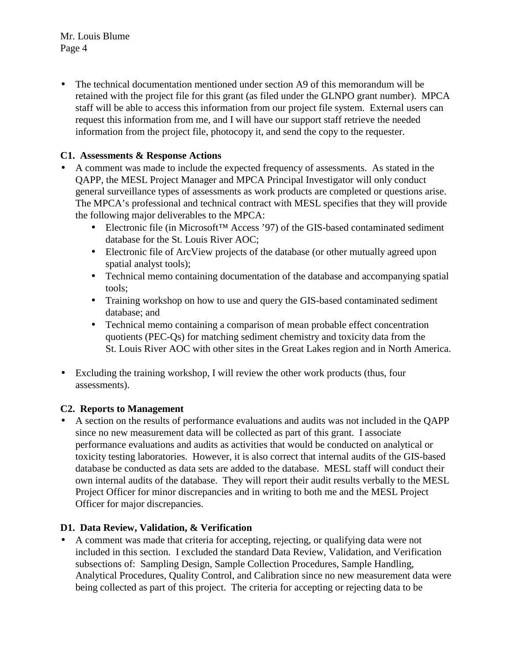Mr. Louis Blume Page 4

• The technical documentation mentioned under section A9 of this memorandum will be retained with the project file for this grant (as filed under the GLNPO grant number). MPCA staff will be able to access this information from our project file system. External users can request this information from me, and I will have our support staff retrieve the needed information from the project file, photocopy it, and send the copy to the requester.

#### **C1. Assessments & Response Actions**

- A comment was made to include the expected frequency of assessments. As stated in the QAPP, the MESL Project Manager and MPCA Principal Investigator will only conduct general surveillance types of assessments as work products are completed or questions arise. The MPCA's professional and technical contract with MESL specifies that they will provide the following major deliverables to the MPCA:
	- Electronic file (in Microsoft™ Access '97) of the GIS-based contaminated sediment database for the St. Louis River AOC;
	- Electronic file of ArcView projects of the database (or other mutually agreed upon spatial analyst tools);
	- Technical memo containing documentation of the database and accompanying spatial tools;
	- Training workshop on how to use and query the GIS-based contaminated sediment database; and
	- Technical memo containing a comparison of mean probable effect concentration quotients (PEC-Qs) for matching sediment chemistry and toxicity data from the St. Louis River AOC with other sites in the Great Lakes region and in North America.
- Excluding the training workshop, I will review the other work products (thus, four assessments).

#### **C2. Reports to Management**

• A section on the results of performance evaluations and audits was not included in the QAPP since no new measurement data will be collected as part of this grant. I associate performance evaluations and audits as activities that would be conducted on analytical or toxicity testing laboratories. However, it is also correct that internal audits of the GIS-based database be conducted as data sets are added to the database. MESL staff will conduct their own internal audits of the database. They will report their audit results verbally to the MESL Project Officer for minor discrepancies and in writing to both me and the MESL Project Officer for major discrepancies.

#### **D1. Data Review, Validation, & Verification**

• A comment was made that criteria for accepting, rejecting, or qualifying data were not included in this section. I excluded the standard Data Review, Validation, and Verification subsections of: Sampling Design, Sample Collection Procedures, Sample Handling, Analytical Procedures, Quality Control, and Calibration since no new measurement data were being collected as part of this project. The criteria for accepting or rejecting data to be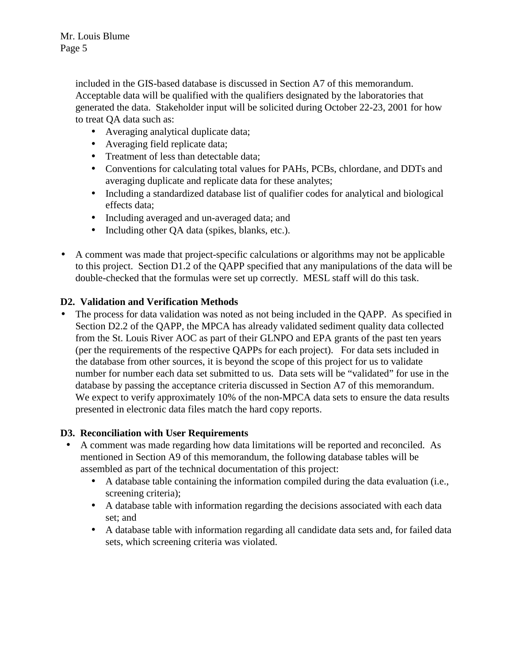Mr. Louis Blume Page 5

> included in the GIS-based database is discussed in Section A7 of this memorandum. Acceptable data will be qualified with the qualifiers designated by the laboratories that generated the data. Stakeholder input will be solicited during October 22-23, 2001 for how to treat QA data such as:

- Averaging analytical duplicate data;
- Averaging field replicate data;
- Treatment of less than detectable data;
- Conventions for calculating total values for PAHs, PCBs, chlordane, and DDTs and averaging duplicate and replicate data for these analytes;
- Including a standardized database list of qualifier codes for analytical and biological effects data;
- Including averaged and un-averaged data; and
- Including other QA data (spikes, blanks, etc.).
- A comment was made that project-specific calculations or algorithms may not be applicable to this project. Section D1.2 of the QAPP specified that any manipulations of the data will be double-checked that the formulas were set up correctly. MESL staff will do this task.

#### **D2. Validation and Verification Methods**

• The process for data validation was noted as not being included in the QAPP. As specified in Section D2.2 of the QAPP, the MPCA has already validated sediment quality data collected from the St. Louis River AOC as part of their GLNPO and EPA grants of the past ten years (per the requirements of the respective QAPPs for each project). For data sets included in the database from other sources, it is beyond the scope of this project for us to validate number for number each data set submitted to us. Data sets will be "validated" for use in the database by passing the acceptance criteria discussed in Section A7 of this memorandum. We expect to verify approximately 10% of the non-MPCA data sets to ensure the data results presented in electronic data files match the hard copy reports.

#### **D3. Reconciliation with User Requirements**

- A comment was made regarding how data limitations will be reported and reconciled. As mentioned in Section A9 of this memorandum, the following database tables will be assembled as part of the technical documentation of this project:
	- A database table containing the information compiled during the data evaluation (i.e., screening criteria);
	- A database table with information regarding the decisions associated with each data set; and
	- A database table with information regarding all candidate data sets and, for failed data sets, which screening criteria was violated.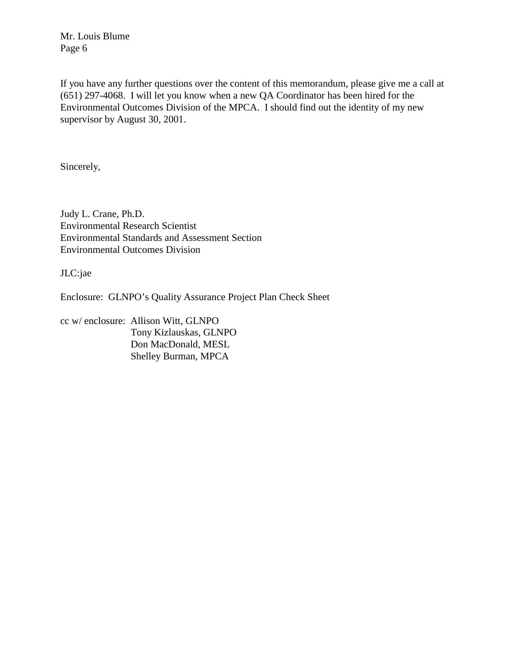Mr. Louis Blume Page 6

If you have any further questions over the content of this memorandum, please give me a call at (651) 297-4068. I will let you know when a new QA Coordinator has been hired for the Environmental Outcomes Division of the MPCA. I should find out the identity of my new supervisor by August 30, 2001.

Sincerely,

Judy L. Crane, Ph.D. Environmental Research Scientist Environmental Standards and Assessment Section Environmental Outcomes Division

JLC:jae

Enclosure: GLNPO's Quality Assurance Project Plan Check Sheet

cc w/ enclosure: Allison Witt, GLNPO Tony Kizlauskas, GLNPO Don MacDonald, MESL Shelley Burman, MPCA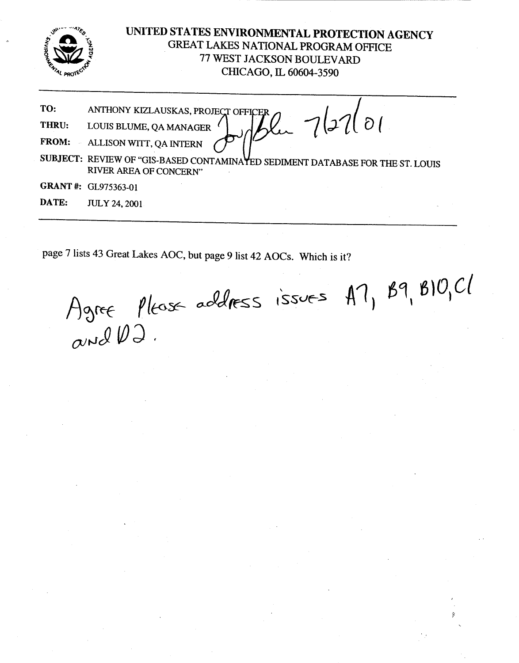

#### UNITED STATES ENVIRONMENTAL PROTECTION AGENCY GREAT LAKES NATIONAL PROGRAM OFFICE 77 WEST JACKSON BOULEVARD CHICAGO, IL 60604-3590

Plu 7/27/01 TO: ANTHONY KIZLAUSKAS, PROJECT OFFIC LOUIS BLUME, QA MANAGER THRU: ALLISON WITT, QA INTERN FROM:  $\bar{\mathcal{A}}$ 

SUBJECT: REVIEW OF "GIS-BASED CONTAMINAYED SEDIMENT DATABASE FOR THE ST. LOUIS RIVER AREA OF CONCERN"

- GRANT #: GL975363-01
- DATE: **JULY 24, 2001**

page 7 lists 43 Great Lakes AOC, but page 9 list 42 AOCs. Which is it?

Agree Please address issues A7, B9, B10, C1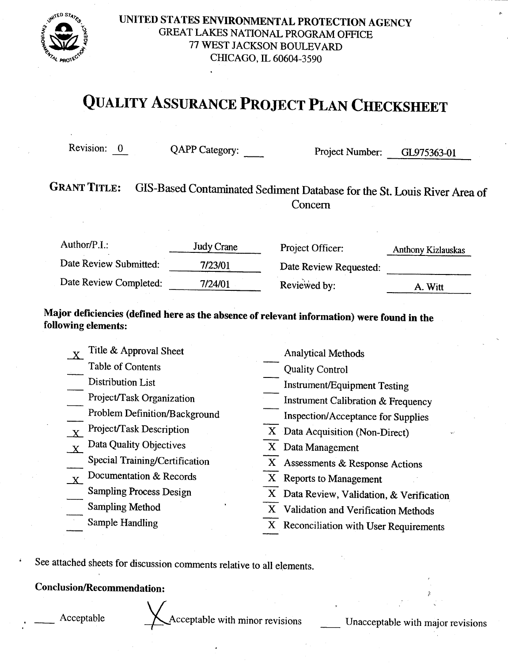

UNITED STATES ENVIRONMENTAL PROTECTION AGENCY GREAT LAKES NATIONAL PROGRAM OFFICE 77 WEST JACKSON BOULEVARD CHICAGO, IL 60604-3590

### **QUALITY ASSURANCE PROJECT PLAN CHECKSHEET**

Revision: 0

QAPP Category:

Project Number: GL975363-01

#### **GRANT TITLE:** GIS-Based Contaminated Sediment Database for the St. Louis River Area of Concern

| Author/ $P.I.$ :       | Judy Crane | Project Officer:       | Anthony Kizlauskas |
|------------------------|------------|------------------------|--------------------|
| Date Review Submitted: | 7/23/01    | Date Review Requested: |                    |
| Date Review Completed: | 7/24/01    | Reviewed by:           | A. Witt            |

Major deficiencies (defined here as the absence of relevant information) were found in the following elements:

| Title & Approval Sheet         | <b>Analytical Methods</b>                     |
|--------------------------------|-----------------------------------------------|
| Table of Contents              | <b>Quality Control</b>                        |
| Distribution List              | Instrument/Equipment Testing                  |
| Project/Task Organization      | <b>Instrument Calibration &amp; Frequency</b> |
| Problem Definition/Background  | <b>Inspection/Acceptance for Supplies</b>     |
| Project/Task Description       | X Data Acquisition (Non-Direct)               |
| Data Quality Objectives        | X Data Management                             |
| Special Training/Certification | X Assessments & Response Actions              |
| Documentation & Records        | $\mathbf{X}$<br><b>Reports to Management</b>  |
| <b>Sampling Process Design</b> | X Data Review, Validation, & Verification     |
| <b>Sampling Method</b>         | X Validation and Verification Methods         |
| Sample Handling                | X Reconciliation with User Requirements       |

See attached sheets for discussion comments relative to all elements.

#### **Conclusion/Recommendation:**

Acceptable

Acceptable with minor revisions

Unacceptable with major revisions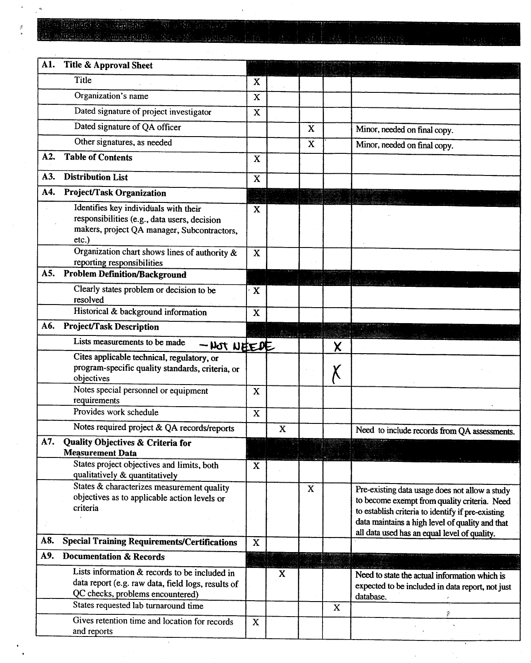l.  $\mathcal{E}^{\mathbf{a}}$ 

 $\lambda$ 

 $\frac{1}{2}$ 

 $\omega_{\rm{max}}$ 

| A1. | Title & Approval Sheet                                                                                                                                                          |             |             |             |             |                                                                                                                                                                                                                                                        |
|-----|---------------------------------------------------------------------------------------------------------------------------------------------------------------------------------|-------------|-------------|-------------|-------------|--------------------------------------------------------------------------------------------------------------------------------------------------------------------------------------------------------------------------------------------------------|
|     | Title                                                                                                                                                                           | $\mathbf X$ |             |             |             |                                                                                                                                                                                                                                                        |
|     | Organization's name                                                                                                                                                             | $\mathbf x$ |             |             |             |                                                                                                                                                                                                                                                        |
|     | Dated signature of project investigator                                                                                                                                         | $\mathbf X$ |             |             |             |                                                                                                                                                                                                                                                        |
|     | Dated signature of QA officer                                                                                                                                                   |             |             | $\mathbf x$ |             | Minor, needed on final copy.                                                                                                                                                                                                                           |
|     | Other signatures, as needed                                                                                                                                                     |             |             | $\mathbf X$ |             | Minor, needed on final copy.                                                                                                                                                                                                                           |
| A2. | <b>Table of Contents</b>                                                                                                                                                        | $\mathbf X$ |             |             |             |                                                                                                                                                                                                                                                        |
| A3. | <b>Distribution List</b>                                                                                                                                                        | $\mathbf X$ |             |             |             |                                                                                                                                                                                                                                                        |
| A4. | Project/Task Organization                                                                                                                                                       |             |             |             |             |                                                                                                                                                                                                                                                        |
|     | Identifies key individuals with their<br>responsibilities (e.g., data users, decision<br>makers, project QA manager, Subcontractors,<br>etc.)                                   | X           |             |             |             |                                                                                                                                                                                                                                                        |
|     | Organization chart shows lines of authority &<br>reporting responsibilities                                                                                                     | $\mathbf X$ |             |             |             |                                                                                                                                                                                                                                                        |
| A5. | <b>Problem Definition/Background</b>                                                                                                                                            |             |             |             |             |                                                                                                                                                                                                                                                        |
|     | Clearly states problem or decision to be<br>resolved                                                                                                                            | X           |             |             |             |                                                                                                                                                                                                                                                        |
|     | Historical & background information                                                                                                                                             | X           |             |             |             |                                                                                                                                                                                                                                                        |
| A6. | <b>Project/Task Description</b>                                                                                                                                                 |             |             |             |             |                                                                                                                                                                                                                                                        |
|     | Lists measurements to be made<br>$-$ Not NEEDE                                                                                                                                  |             |             |             | χ           |                                                                                                                                                                                                                                                        |
|     | Cites applicable technical, regulatory, or<br>program-specific quality standards, criteria, or<br>objectives                                                                    |             |             |             | X           |                                                                                                                                                                                                                                                        |
|     | Notes special personnel or equipment<br>requirements                                                                                                                            | X           |             |             |             |                                                                                                                                                                                                                                                        |
|     | Provides work schedule                                                                                                                                                          | $\mathbf X$ |             |             |             |                                                                                                                                                                                                                                                        |
|     | Notes required project & QA records/reports                                                                                                                                     |             | $\mathbf X$ |             |             | Need to include records from QA assessments.                                                                                                                                                                                                           |
| A7. | Quality Objectives & Criteria for<br><b>Measurement Data</b>                                                                                                                    |             |             |             |             |                                                                                                                                                                                                                                                        |
|     | States project objectives and limits, both                                                                                                                                      | $\mathbf X$ |             |             |             |                                                                                                                                                                                                                                                        |
|     | qualitatively & quantitatively                                                                                                                                                  |             |             |             |             |                                                                                                                                                                                                                                                        |
|     | States & characterizes measurement quality<br>objectives as to applicable action levels or<br>criteria                                                                          |             |             | $\mathbf X$ |             | Pre-existing data usage does not allow a study<br>to become exempt from quality criteria. Need<br>to establish criteria to identify if pre-existing<br>data maintains a high level of quality and that<br>all data used has an equal level of quality. |
| A8. | <b>Special Training Requirements/Certifications</b>                                                                                                                             | $\mathbf X$ |             |             |             |                                                                                                                                                                                                                                                        |
| A9. | <b>Documentation &amp; Records</b>                                                                                                                                              |             |             |             |             |                                                                                                                                                                                                                                                        |
|     | Lists information & records to be included in<br>data report (e.g. raw data, field logs, results of<br>QC checks, problems encountered)<br>States requested lab turnaround time |             | $\mathbf X$ |             |             | Need to state the actual information which is<br>expected to be included in data report, not just<br>database.                                                                                                                                         |
|     | Gives retention time and location for records                                                                                                                                   | $\mathbf X$ |             |             | $\mathbf X$ |                                                                                                                                                                                                                                                        |
|     | and reports                                                                                                                                                                     |             |             |             |             |                                                                                                                                                                                                                                                        |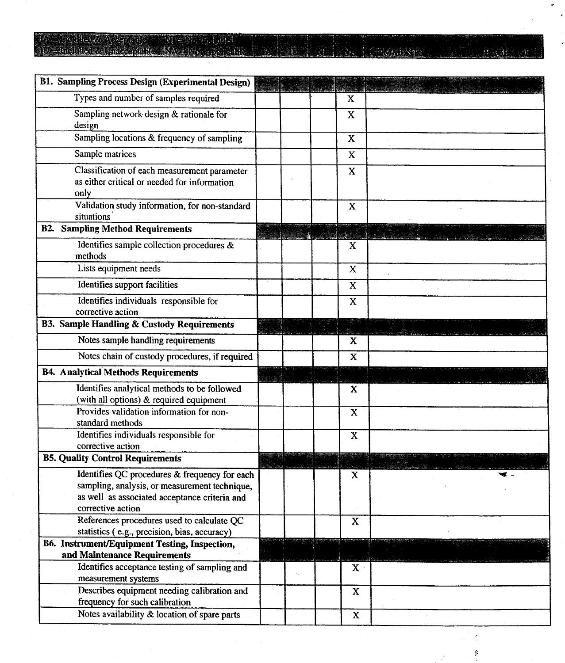# 

<u>a diabitant</u>

 $\tilde{\mathcal{E}}$ 

ø

J,

| <b>B1. Sampling Process Design (Experimental Design)</b>                                                                                                             |  |  |             |  |
|----------------------------------------------------------------------------------------------------------------------------------------------------------------------|--|--|-------------|--|
| Types and number of samples required                                                                                                                                 |  |  | X           |  |
| Sampling network design & rationale for<br>design                                                                                                                    |  |  | $\mathbf X$ |  |
| Sampling locations & frequency of sampling                                                                                                                           |  |  | X           |  |
| Sample matrices                                                                                                                                                      |  |  | $\mathbf x$ |  |
| Classification of each measurement parameter<br>as either critical or needed for information<br>only                                                                 |  |  | X           |  |
| Validation study information, for non-standard<br>situations                                                                                                         |  |  | $\mathbf X$ |  |
| <b>B2. Sampling Method Requirements</b>                                                                                                                              |  |  |             |  |
| Identifies sample collection procedures &<br>methods                                                                                                                 |  |  | X           |  |
| Lists equipment needs                                                                                                                                                |  |  | $\mathbf X$ |  |
| Identifies support facilities                                                                                                                                        |  |  | $\mathbf X$ |  |
| Identifies individuals responsible for<br>corrective action                                                                                                          |  |  | $\mathbf X$ |  |
| <b>B3. Sample Handling &amp; Custody Requirements</b>                                                                                                                |  |  |             |  |
| Notes sample handling requirements                                                                                                                                   |  |  | X           |  |
| Notes chain of custody procedures, if required                                                                                                                       |  |  | $\mathbf X$ |  |
| <b>B4. Analytical Methods Requirements</b>                                                                                                                           |  |  |             |  |
| Identifies analytical methods to be followed<br>(with all options) & required equipment                                                                              |  |  | X           |  |
| Provides validation information for non-<br>standard methods                                                                                                         |  |  | $\mathbf x$ |  |
| Identifies individuals responsible for<br>corrective action                                                                                                          |  |  | $\mathbf X$ |  |
| <b>B5. Quality Control Requirements</b>                                                                                                                              |  |  |             |  |
| Identifies QC procedures & frequency for each<br>sampling, analysis, or measurement technique,<br>as well as associated acceptance criteria and<br>corrective action |  |  | $\mathbf x$ |  |
| References procedures used to calculate QC                                                                                                                           |  |  | $\mathbf X$ |  |
| statistics (e.g., precision, bias, accuracy)                                                                                                                         |  |  |             |  |
| B6. Instrument/Equipment Testing, Inspection,<br>and Maintenance Requirements                                                                                        |  |  |             |  |
| Identifies acceptance testing of sampling and<br>measurement systems                                                                                                 |  |  | X           |  |
| Describes equipment needing calibration and<br>frequency for such calibration                                                                                        |  |  | $\mathbf X$ |  |
| Notes availability & location of spare parts                                                                                                                         |  |  | $\mathbf X$ |  |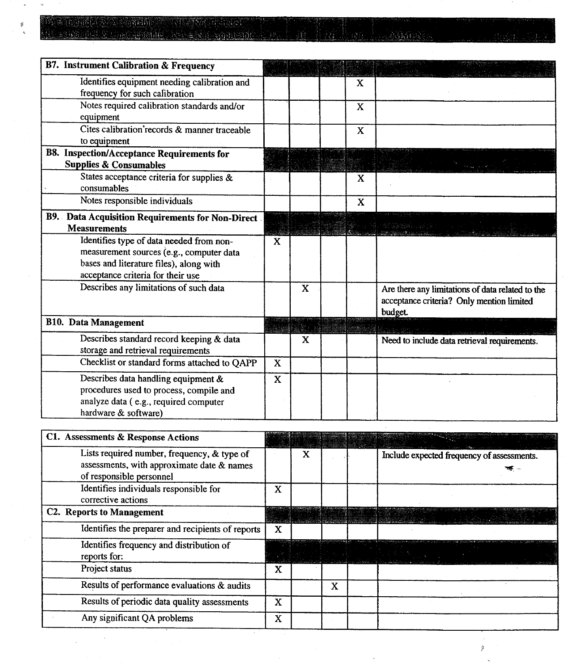## er e la parte de la castilité de l'ESSE d'aliació de l'aliació

 $\bar{a}$ 

Ý.

<u>na lakamata</u>

| <b>B7.</b> Instrument Calibration & Frequency                                                                                                                        |             |   |             |                                                                                                          |
|----------------------------------------------------------------------------------------------------------------------------------------------------------------------|-------------|---|-------------|----------------------------------------------------------------------------------------------------------|
| Identifies equipment needing calibration and<br>frequency for such cafibration                                                                                       |             |   | X           |                                                                                                          |
| Notes required calibration standards and/or<br>equipment                                                                                                             |             |   | X           |                                                                                                          |
| Cites calibration records & manner traceable<br>to equipment                                                                                                         |             |   | $\mathbf X$ |                                                                                                          |
| <b>B8.</b> Inspection/Acceptance Requirements for<br><b>Supplies &amp; Consumables</b>                                                                               |             |   |             |                                                                                                          |
| States acceptance criteria for supplies &<br>consumables                                                                                                             |             |   | $\mathbf X$ |                                                                                                          |
| Notes responsible individuals                                                                                                                                        |             |   | X           |                                                                                                          |
| B9. Data Acquisition Requirements for Non-Direct<br><b>Measurements</b>                                                                                              |             |   |             |                                                                                                          |
| Identifies type of data needed from non-<br>measurement sources (e.g., computer data<br>bases and literature files), along with<br>acceptance criteria for their use | X           |   |             |                                                                                                          |
| Describes any limitations of such data                                                                                                                               |             | X |             | Are there any limitations of data related to the<br>acceptance criteria? Only mention limited<br>budget. |
| <b>B10.</b> Data Management                                                                                                                                          |             |   |             |                                                                                                          |
| Describes standard record keeping & data<br>storage and retrieval requirements                                                                                       |             | X |             | Need to include data retrieval requirements.                                                             |
| Checklist or standard forms attached to QAPP                                                                                                                         | $\mathbf X$ |   |             |                                                                                                          |
| Describes data handling equipment &<br>procedures used to process, compile and<br>analyze data (e.g., required computer<br>hardware & software)                      | X           |   |             |                                                                                                          |
| C1. Assessments & Response Actions                                                                                                                                   |             |   |             |                                                                                                          |
| Lists required number, frequency, & type of<br>assessments, with approximate date & names<br>of responsible personnel                                                |             | X |             | Include expected frequency of assessments.                                                               |

**Bi** 

| X |   |  |                                                                                                                |
|---|---|--|----------------------------------------------------------------------------------------------------------------|
|   |   |  |                                                                                                                |
| X |   |  |                                                                                                                |
|   |   |  |                                                                                                                |
| x |   |  |                                                                                                                |
|   | x |  |                                                                                                                |
| x |   |  |                                                                                                                |
| x |   |  |                                                                                                                |
|   |   |  | an di kabupatèn Kalèndherang di kacamatan di Kabupatèn Kabupatèn Kabupatèn Kabupatèn Kabupatèn Kabupatèn Kabup |

 $\ddot{\phantom{a}}$ 

 $\tilde{\varphi}$